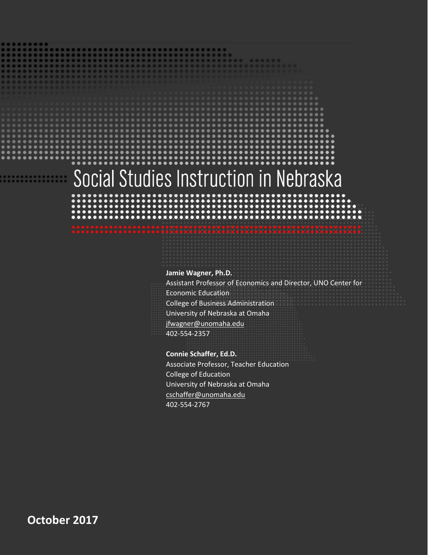# Social Studies Instruction in Nebraska

#### **Jamie Wagner, Ph.D.**

Assistant Professor of Economics and Director, UNO Center for Economic Education College of Business Administration University of Nebraska at Omaha [jfwagner@unomaha.edu](mailto:jfwagner@unomaha.edu) 402-554-2357

#### **Connie Schaffer, Ed.D.**

Associate Professor, Teacher Education College of Education University of Nebraska at Omaha [cschaffer@unomaha.edu](mailto:cschaffer@unomaha.edu) 402-554-2767

**October 2017**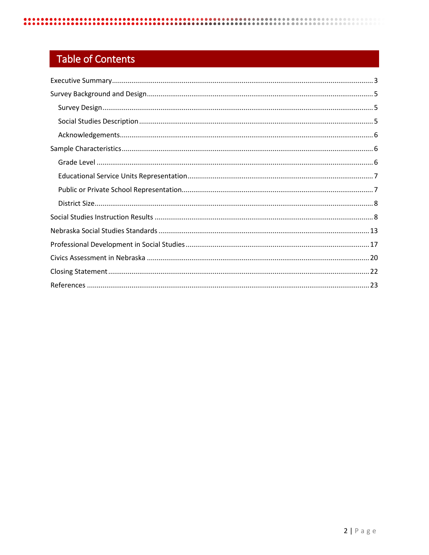# **Table of Contents**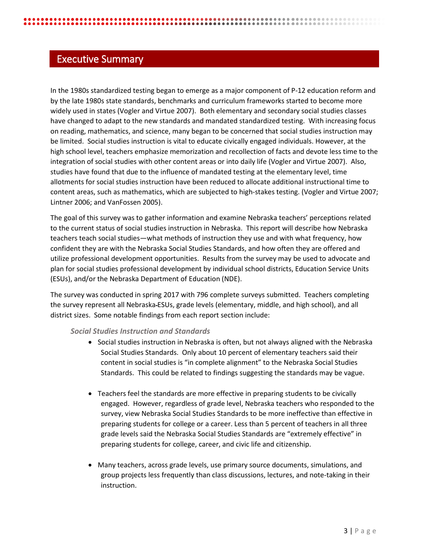# <span id="page-2-0"></span>Executive Summary

In the 1980s standardized testing began to emerge as a major component of P-12 education reform and by the late 1980s state standards, benchmarks and curriculum frameworks started to become more widely used in states (Vogler and Virtue 2007). Both elementary and secondary social studies classes have changed to adapt to the new standards and mandated standardized testing. With increasing focus on reading, mathematics, and science, many began to be concerned that social studies instruction may be limited. Social studies instruction is vital to educate civically engaged individuals. However, at the high school level, teachers emphasize memorization and recollection of facts and devote less time to the integration of social studies with other content areas or into daily life (Vogler and Virtue 2007). Also, studies have found that due to the influence of mandated testing at the elementary level, time allotments for social studies instruction have been reduced to allocate additional instructional time to content areas, such as mathematics, which are subjected to high-stakes testing. (Vogler and Virtue 2007; Lintner 2006; and VanFossen 2005).

The goal of this survey was to gather information and examine Nebraska teachers' perceptions related to the current status of social studies instruction in Nebraska. This report will describe how Nebraska teachers teach social studies—what methods of instruction they use and with what frequency, how confident they are with the Nebraska Social Studies Standards, and how often they are offered and utilize professional development opportunities. Results from the survey may be used to advocate and plan for social studies professional development by individual school districts, Education Service Units (ESUs), and/or the Nebraska Department of Education (NDE).

The survey was conducted in spring 2017 with 796 complete surveys submitted. Teachers completing the survey represent all Nebraska ESUs, grade levels (elementary, middle, and high school), and all district sizes. Some notable findings from each report section include:

#### *Social Studies Instruction and Standards*

- Social studies instruction in Nebraska is often, but not always aligned with the Nebraska Social Studies Standards. Only about 10 percent of elementary teachers said their content in social studies is "in complete alignment" to the Nebraska Social Studies Standards. This could be related to findings suggesting the standards may be vague.
- Teachers feel the standards are more effective in preparing students to be civically engaged. However, regardless of grade level, Nebraska teachers who responded to the survey, view Nebraska Social Studies Standards to be more ineffective than effective in preparing students for college or a career. Less than 5 percent of teachers in all three grade levels said the Nebraska Social Studies Standards are "extremely effective" in preparing students for college, career, and civic life and citizenship.
- Many teachers, across grade levels, use primary source documents, simulations, and group projects less frequently than class discussions, lectures, and note-taking in their instruction.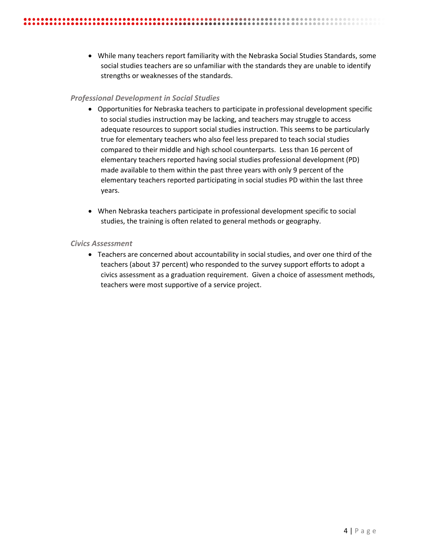• While many teachers report familiarity with the Nebraska Social Studies Standards, some social studies teachers are so unfamiliar with the standards they are unable to identify strengths or weaknesses of the standards.

**...............................** 

#### *Professional Development in Social Studies*

- Opportunities for Nebraska teachers to participate in professional development specific to social studies instruction may be lacking, and teachers may struggle to access adequate resources to support social studies instruction. This seems to be particularly true for elementary teachers who also feel less prepared to teach social studies compared to their middle and high school counterparts. Less than 16 percent of elementary teachers reported having social studies professional development (PD) made available to them within the past three years with only 9 percent of the elementary teachers reported participating in social studies PD within the last three years.
- When Nebraska teachers participate in professional development specific to social studies, the training is often related to general methods or geography.

#### *Civics Assessment*

• Teachers are concerned about accountability in social studies, and over one third of the teachers (about 37 percent) who responded to the survey support efforts to adopt a civics assessment as a graduation requirement. Given a choice of assessment methods, teachers were most supportive of a service project.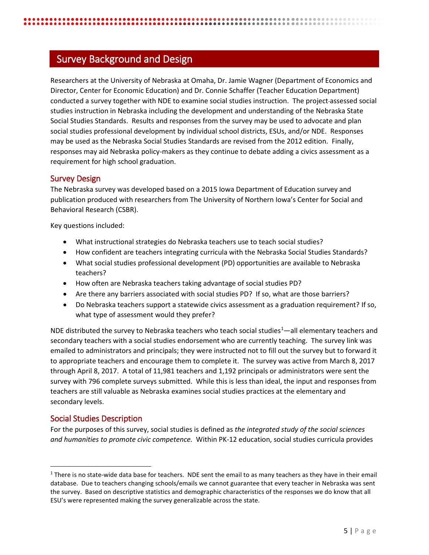# <span id="page-4-0"></span>Survey Background and Design

Researchers at the University of Nebraska at Omaha, Dr. Jamie Wagner (Department of Economics and Director, Center for Economic Education) and Dr. Connie Schaffer (Teacher Education Department) conducted a survey together with NDE to examine social studies instruction. The project assessed social studies instruction in Nebraska including the development and understanding of the Nebraska State Social Studies Standards. Results and responses from the survey may be used to advocate and plan social studies professional development by individual school districts, ESUs, and/or NDE. Responses may be used as the Nebraska Social Studies Standards are revised from the 2012 edition. Finally, responses may aid Nebraska policy-makers as they continue to debate adding a civics assessment as a requirement for high school graduation.

#### <span id="page-4-1"></span>Survey Design

The Nebraska survey was developed based on a 2015 Iowa Department of Education survey and publication produced with researchers from The University of Northern Iowa's Center for Social and Behavioral Research (CSBR).

Key questions included:

- What instructional strategies do Nebraska teachers use to teach social studies?
- How confident are teachers integrating curricula with the Nebraska Social Studies Standards?
- What social studies professional development (PD) opportunities are available to Nebraska teachers?
- How often are Nebraska teachers taking advantage of social studies PD?
- Are there any barriers associated with social studies PD? If so, what are those barriers?
- Do Nebraska teachers support a statewide civics assessment as a graduation requirement? If so, what type of assessment would they prefer?

NDE distributed the survey to Nebraska teachers who teach social studies<sup>[1](#page-4-3)</sup>—all elementary teachers and secondary teachers with a social studies endorsement who are currently teaching. The survey link was emailed to administrators and principals; they were instructed not to fill out the survey but to forward it to appropriate teachers and encourage them to complete it. The survey was active from March 8, 2017 through April 8, 2017. A total of 11,981 teachers and 1,192 principals or administrators were sent the survey with 796 complete surveys submitted. While this is less than ideal, the input and responses from teachers are still valuable as Nebraska examines social studies practices at the elementary and secondary levels.

#### <span id="page-4-2"></span>Social Studies Description

For the purposes of this survey, social studies is defined as *the integrated study of the social sciences and humanities to promote civic competence.* Within PK-12 education, social studies curricula provides

<span id="page-4-3"></span> $1$  There is no state-wide data base for teachers. NDE sent the email to as many teachers as they have in their email database. Due to teachers changing schools/emails we cannot guarantee that every teacher in Nebraska was sent the survey. Based on descriptive statistics and demographic characteristics of the responses we do know that all ESU's were represented making the survey generalizable across the state.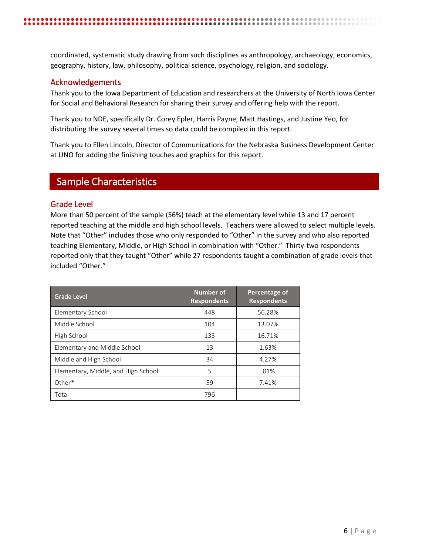coordinated, systematic study drawing from such disciplines as anthropology, archaeology, economics, geography, history, law, philosophy, political science, psychology, religion, and sociology.

#### <span id="page-5-0"></span>Acknowledgements

Thank you to the Iowa Department of Education and researchers at the University of North Iowa Center for Social and Behavioral Research for sharing their survey and offering help with the report.

Thank you to NDE, specifically Dr. Corey Epler, Harris Payne, Matt Hastings, and Justine Yeo, for distributing the survey several times so data could be compiled in this report.

Thank you to Ellen Lincoln, Director of Communications for the Nebraska Business Development Center at UNO for adding the finishing touches and graphics for this report.

# <span id="page-5-1"></span>Sample Characteristics

#### <span id="page-5-2"></span>Grade Level

More than 50 percent of the sample (56%) teach at the elementary level while 13 and 17 percent reported teaching at the middle and high school levels. Teachers were allowed to select multiple levels. Note that "Other" includes those who only responded to "Other" in the survey and who also reported teaching Elementary, Middle, or High School in combination with "Other." Thirty-two respondents reported only that they taught "Other" while 27 respondents taught a combination of grade levels that included "Other."

<span id="page-5-3"></span>

| <b>Grade Level</b>                  | Number of<br><b>Respondents</b> | Percentage of<br><b>Respondents</b> |
|-------------------------------------|---------------------------------|-------------------------------------|
| Elementary School                   | 448                             | 56.28%                              |
| Middle School                       | 104                             | 13.07%                              |
| High School                         | 133                             | 16.71%                              |
| Elementary and Middle School        | 13                              | 1.63%                               |
| Middle and High School              | 34                              | 4.27%                               |
| Elementary, Middle, and High School | 5                               | .01%                                |
| $Other*$                            | 59                              | 7.41%                               |
| Total                               | 796                             |                                     |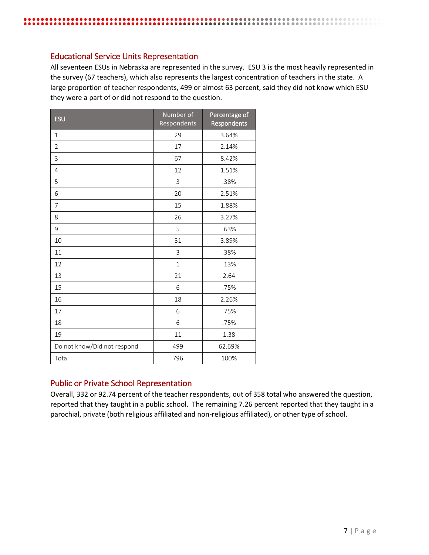#### Educational Service Units Representation

All seventeen ESUs in Nebraska are represented in the survey. ESU 3 is the most heavily represented in the survey (67 teachers), which also represents the largest concentration of teachers in the state. A large proportion of teacher respondents, 499 or almost 63 percent, said they did not know which ESU they were a part of or did not respond to the question.

**................................** 

| <b>ESU</b>                  | Number of<br>Respondents | Percentage of<br>Respondents |
|-----------------------------|--------------------------|------------------------------|
| 1                           | 29                       | 3.64%                        |
| $\overline{2}$              | 17                       | 2.14%                        |
| 3                           | 67                       | 8.42%                        |
| $\overline{4}$              | 12                       | 1.51%                        |
| 5                           | 3                        | .38%                         |
| 6                           | 20                       | 2.51%                        |
| 7                           | 15                       | 1.88%                        |
| 8                           | 26                       | 3.27%                        |
| 9                           | 5                        | .63%                         |
| 10                          | 31                       | 3.89%                        |
| 11                          | 3                        | .38%                         |
| 12                          | $\mathbf{1}$             | .13%                         |
| 13                          | 21                       | 2.64                         |
| 15                          | 6                        | .75%                         |
| 16                          | 18                       | 2.26%                        |
| 17                          | 6                        | .75%                         |
| 18                          | 6                        | .75%                         |
| 19                          | 11                       | 1.38                         |
| Do not know/Did not respond | 499                      | 62.69%                       |
| Total                       | 796                      | 100%                         |

### <span id="page-6-0"></span>Public or Private School Representation

Overall, 332 or 92.74 percent of the teacher respondents, out of 358 total who answered the question, reported that they taught in a public school. The remaining 7.26 percent reported that they taught in a parochial, private (both religious affiliated and non-religious affiliated), or other type of school.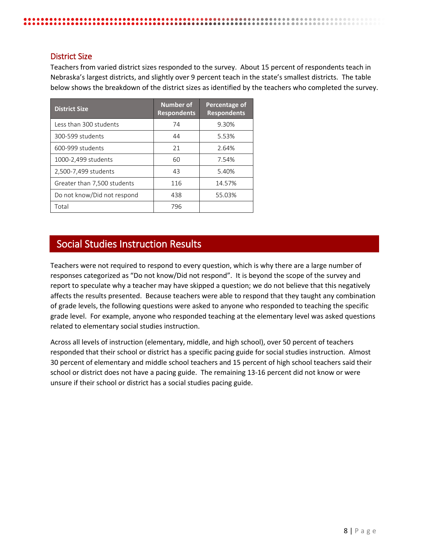#### <span id="page-7-0"></span>District Size

Teachers from varied district sizes responded to the survey. About 15 percent of respondents teach in Nebraska's largest districts, and slightly over 9 percent teach in the state's smallest districts. The table below shows the breakdown of the district sizes as identified by the teachers who completed the survey.

| <b>District Size</b>        | <b>Number of</b><br><b>Respondents</b> | Percentage of<br><b>Respondents</b> |
|-----------------------------|----------------------------------------|-------------------------------------|
| Less than 300 students      | 74                                     | 9.30%                               |
| 300-599 students            | 44                                     | 5.53%                               |
| 600-999 students            | 21                                     | 2.64%                               |
| 1000-2,499 students         | 60                                     | 7.54%                               |
| 2,500-7,499 students        | 43                                     | 5.40%                               |
| Greater than 7,500 students | 116                                    | 14.57%                              |
| Do not know/Did not respond | 438                                    | 55.03%                              |
| Total                       | 796                                    |                                     |

# <span id="page-7-1"></span>Social Studies Instruction Results

Teachers were not required to respond to every question, which is why there are a large number of responses categorized as "Do not know/Did not respond". It is beyond the scope of the survey and report to speculate why a teacher may have skipped a question; we do not believe that this negatively affects the results presented. Because teachers were able to respond that they taught any combination of grade levels, the following questions were asked to anyone who responded to teaching the specific grade level. For example, anyone who responded teaching at the elementary level was asked questions related to elementary social studies instruction.

Across all levels of instruction (elementary, middle, and high school), over 50 percent of teachers responded that their school or district has a specific pacing guide for social studies instruction. Almost 30 percent of elementary and middle school teachers and 15 percent of high school teachers said their school or district does not have a pacing guide. The remaining 13-16 percent did not know or were unsure if their school or district has a social studies pacing guide.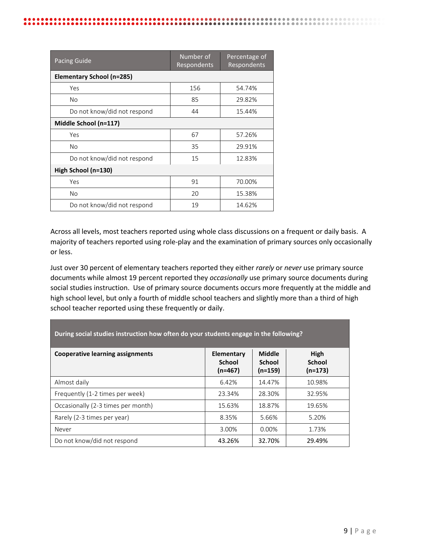| Pacing Guide                | Number of<br>Respondents | Percentage of<br>Respondents |
|-----------------------------|--------------------------|------------------------------|
| Elementary School (n=285)   |                          |                              |
| Yes                         | 156                      | 54.74%                       |
| No                          | 85                       | 29.82%                       |
| Do not know/did not respond | 44                       | 15.44%                       |
| Middle School (n=117)       |                          |                              |
| Yes                         | 67                       | 57.26%                       |
| <b>No</b>                   | 35                       | 29.91%                       |
| Do not know/did not respond | 15                       | 12.83%                       |
| High School (n=130)         |                          |                              |
| Yes                         | 91                       | 70.00%                       |
| No                          | 20                       | 15.38%                       |
| Do not know/did not respond | 19                       | 14.62%                       |

Across all levels, most teachers reported using whole class discussions on a frequent or daily basis. A majority of teachers reported using role-play and the examination of primary sources only occasionally or less.

Just over 30 percent of elementary teachers reported they either *rarely* or *never* use primary source documents while almost 19 percent reported they *occasionally* use primary source documents during social studies instruction. Use of primary source documents occurs more frequently at the middle and high school level, but only a fourth of middle school teachers and slightly more than a third of high school teacher reported using these frequently or daily.

| During social studies instruction how often do your students engage in the following? |                                          |                                      |                                    |
|---------------------------------------------------------------------------------------|------------------------------------------|--------------------------------------|------------------------------------|
| Cooperative learning assignments                                                      | Elementary<br><b>School</b><br>$(n=467)$ | Middle<br><b>School</b><br>$(n=159)$ | High<br><b>School</b><br>$(n=173)$ |
| Almost daily                                                                          | 6.42%                                    | 14.47%                               | 10.98%                             |
| Frequently (1-2 times per week)                                                       | 23.34%                                   | 28.30%                               | 32.95%                             |
| Occasionally (2-3 times per month)                                                    | 15.63%                                   | 18.87%                               | 19.65%                             |
| Rarely (2-3 times per year)                                                           | 8.35%                                    | 5.66%                                | 5.20%                              |
| Never                                                                                 | 3.00%                                    | 0.00%                                | 1.73%                              |
| Do not know/did not respond                                                           | 43.26%                                   | 32.70%                               | 29.49%                             |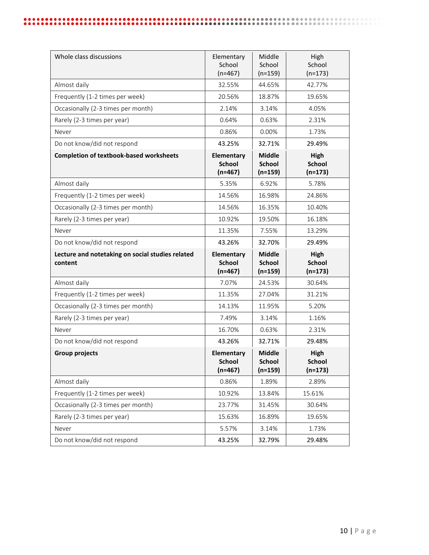| Whole class discussions                                     | Elementary<br>School<br>$(n=467)$        | Middle<br>School<br>$(n=159)$               | High<br>School<br>$(n=173)$        |
|-------------------------------------------------------------|------------------------------------------|---------------------------------------------|------------------------------------|
| Almost daily                                                | 32.55%                                   | 44.65%                                      | 42.77%                             |
| Frequently (1-2 times per week)                             | 20.56%                                   | 18.87%                                      | 19.65%                             |
| Occasionally (2-3 times per month)                          | 2.14%                                    | 3.14%                                       | 4.05%                              |
| Rarely (2-3 times per year)                                 | 0.64%                                    | 0.63%                                       | 2.31%                              |
| Never                                                       | 0.86%                                    | 0.00%                                       | 1.73%                              |
| Do not know/did not respond                                 | 43.25%                                   | 32.71%                                      | 29.49%                             |
| <b>Completion of textbook-based worksheets</b>              | Elementary<br><b>School</b><br>$(n=467)$ | <b>Middle</b><br><b>School</b><br>$(n=159)$ | High<br><b>School</b><br>$(n=173)$ |
| Almost daily                                                | 5.35%                                    | 6.92%                                       | 5.78%                              |
| Frequently (1-2 times per week)                             | 14.56%                                   | 16.98%                                      | 24.86%                             |
| Occasionally (2-3 times per month)                          | 14.56%                                   | 16.35%                                      | 10.40%                             |
| Rarely (2-3 times per year)                                 | 10.92%                                   | 19.50%                                      | 16.18%                             |
| Never                                                       | 11.35%                                   | 7.55%                                       | 13.29%                             |
| Do not know/did not respond                                 | 43.26%                                   | 32.70%                                      | 29.49%                             |
|                                                             |                                          |                                             |                                    |
| Lecture and notetaking on social studies related<br>content | Elementary<br><b>School</b><br>$(n=467)$ | <b>Middle</b><br><b>School</b><br>$(n=159)$ | High<br><b>School</b><br>$(n=173)$ |
| Almost daily                                                | 7.07%                                    | 24.53%                                      | 30.64%                             |
| Frequently (1-2 times per week)                             | 11.35%                                   | 27.04%                                      | 31.21%                             |
| Occasionally (2-3 times per month)                          | 14.13%                                   | 11.95%                                      | 5.20%                              |
| Rarely (2-3 times per year)                                 | 7.49%                                    | 3.14%                                       | 1.16%                              |
| Never                                                       | 16.70%                                   | 0.63%                                       | 2.31%                              |
| Do not know/did not respond                                 | 43.26%                                   | 32.71%                                      | 29.48%                             |
| <b>Group projects</b>                                       | Elementary<br><b>School</b><br>$(n=467)$ | <b>Middle</b><br><b>School</b><br>$(n=159)$ | High<br><b>School</b><br>$(n=173)$ |
| Almost daily                                                | 0.86%                                    | 1.89%                                       | 2.89%                              |
| Frequently (1-2 times per week)                             | 10.92%                                   | 13.84%                                      | 15.61%                             |
| Occasionally (2-3 times per month)                          | 23.77%                                   | 31.45%                                      | 30.64%                             |
| Rarely (2-3 times per year)                                 | 15.63%                                   | 16.89%                                      | 19.65%                             |
| Never                                                       | 5.57%                                    | 3.14%                                       | 1.73%                              |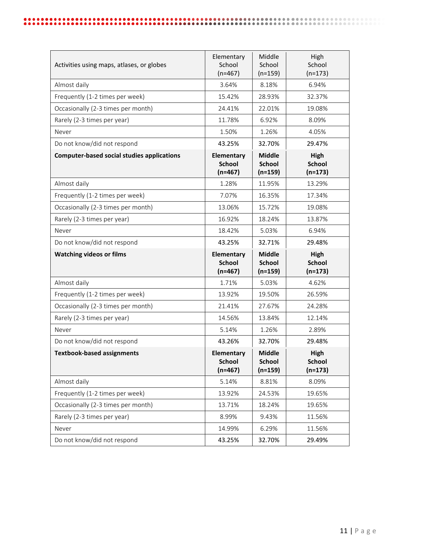| Activities using maps, atlases, or globes         | Elementary<br>School<br>$(n=467)$        | Middle<br>School<br>$(n=159)$               | High<br>School<br>$(n=173)$        |
|---------------------------------------------------|------------------------------------------|---------------------------------------------|------------------------------------|
| Almost daily                                      | 3.64%                                    | 8.18%                                       | 6.94%                              |
| Frequently (1-2 times per week)                   | 15.42%                                   | 28.93%                                      | 32.37%                             |
| Occasionally (2-3 times per month)                | 24.41%                                   | 22.01%                                      | 19.08%                             |
| Rarely (2-3 times per year)                       | 11.78%                                   | 6.92%                                       | 8.09%                              |
| Never                                             | 1.50%                                    | 1.26%                                       | 4.05%                              |
| Do not know/did not respond                       | 43.25%                                   | 32.70%                                      | 29.47%                             |
| <b>Computer-based social studies applications</b> | Elementary<br><b>School</b><br>$(n=467)$ | <b>Middle</b><br><b>School</b><br>$(n=159)$ | High<br><b>School</b><br>$(n=173)$ |
| Almost daily                                      | 1.28%                                    | 11.95%                                      | 13.29%                             |
| Frequently (1-2 times per week)                   | 7.07%                                    | 16.35%                                      | 17.34%                             |
| Occasionally (2-3 times per month)                | 13.06%                                   | 15.72%                                      | 19.08%                             |
| Rarely (2-3 times per year)                       | 16.92%                                   | 18.24%                                      | 13.87%                             |
| Never                                             | 18.42%                                   | 5.03%                                       | 6.94%                              |
| Do not know/did not respond                       | 43.25%                                   | 32.71%                                      | 29.48%                             |
|                                                   |                                          |                                             |                                    |
| <b>Watching videos or films</b>                   | Elementary<br><b>School</b><br>$(n=467)$ | <b>Middle</b><br><b>School</b><br>$(n=159)$ | High<br><b>School</b><br>$(n=173)$ |
| Almost daily                                      | 1.71%                                    | 5.03%                                       | 4.62%                              |
| Frequently (1-2 times per week)                   | 13.92%                                   | 19.50%                                      | 26.59%                             |
| Occasionally (2-3 times per month)                | 21.41%                                   | 27.67%                                      | 24.28%                             |
| Rarely (2-3 times per year)                       | 14.56%                                   | 13.84%                                      | 12.14%                             |
| Never                                             | 5.14%                                    | 1.26%                                       | 2.89%                              |
| Do not know/did not respond                       | 43.26%                                   | 32.70%                                      | 29.48%                             |
| <b>Textbook-based assignments</b>                 | Elementary<br><b>School</b><br>$(n=467)$ | <b>Middle</b><br><b>School</b><br>$(n=159)$ | High<br><b>School</b><br>$(n=173)$ |
| Almost daily                                      | 5.14%                                    | 8.81%                                       | 8.09%                              |
| Frequently (1-2 times per week)                   | 13.92%                                   | 24.53%                                      | 19.65%                             |
| Occasionally (2-3 times per month)                | 13.71%                                   | 18.24%                                      | 19.65%                             |
| Rarely (2-3 times per year)                       | 8.99%                                    | 9.43%                                       | 11.56%                             |
| Never                                             | 14.99%                                   | 6.29%                                       | 11.56%                             |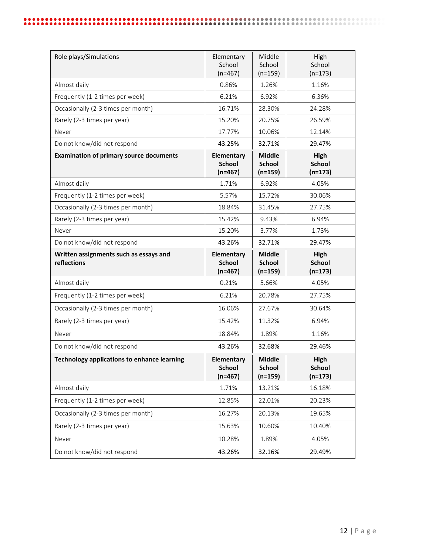| Role plays/Simulations                                | Elementary<br>School<br>$(n=467)$               | Middle<br>School<br>$(n=159)$               | High<br>School<br>$(n=173)$               |
|-------------------------------------------------------|-------------------------------------------------|---------------------------------------------|-------------------------------------------|
| Almost daily                                          | 0.86%                                           | 1.26%                                       | 1.16%                                     |
| Frequently (1-2 times per week)                       | 6.21%                                           | 6.92%                                       | 6.36%                                     |
| Occasionally (2-3 times per month)                    | 16.71%                                          | 28.30%                                      | 24.28%                                    |
| Rarely (2-3 times per year)                           | 15.20%                                          | 20.75%                                      | 26.59%                                    |
| Never                                                 | 17.77%                                          | 10.06%                                      | 12.14%                                    |
| Do not know/did not respond                           | 43.25%                                          | 32.71%                                      | 29.47%                                    |
| <b>Examination of primary source documents</b>        | Elementary<br><b>School</b><br>$(n=467)$        | <b>Middle</b><br><b>School</b><br>$(n=159)$ | High<br><b>School</b><br>$(n=173)$        |
| Almost daily                                          | 1.71%                                           | 6.92%                                       | 4.05%                                     |
| Frequently (1-2 times per week)                       | 5.57%                                           | 15.72%                                      | 30.06%                                    |
| Occasionally (2-3 times per month)                    | 18.84%                                          | 31.45%                                      | 27.75%                                    |
| Rarely (2-3 times per year)                           | 15.42%                                          | 9.43%                                       | 6.94%                                     |
| Never                                                 | 15.20%                                          | 3.77%                                       | 1.73%                                     |
| Do not know/did not respond                           | 43.26%                                          | 32.71%                                      | 29.47%                                    |
|                                                       |                                                 |                                             |                                           |
| Written assignments such as essays and<br>reflections | Elementary<br><b>School</b><br>$(n=467)$        | <b>Middle</b><br><b>School</b><br>$(n=159)$ | High<br><b>School</b><br>$(n=173)$        |
| Almost daily                                          | 0.21%                                           | 5.66%                                       | 4.05%                                     |
| Frequently (1-2 times per week)                       | 6.21%                                           | 20.78%                                      | 27.75%                                    |
| Occasionally (2-3 times per month)                    | 16.06%                                          | 27.67%                                      | 30.64%                                    |
| Rarely (2-3 times per year)                           | 15.42%                                          | 11.32%                                      | 6.94%                                     |
| Never                                                 | 18.84%                                          | 1.89%                                       | 1.16%                                     |
| Do not know/did not respond                           | 43.26%                                          | 32.68%                                      | 29.46%                                    |
| <b>Technology applications to enhance learning</b>    | <b>Elementary</b><br><b>School</b><br>$(n=467)$ | <b>Middle</b><br><b>School</b><br>$(n=159)$ | <b>High</b><br><b>School</b><br>$(n=173)$ |
| Almost daily                                          | 1.71%                                           | 13.21%                                      | 16.18%                                    |
| Frequently (1-2 times per week)                       | 12.85%                                          | 22.01%                                      | 20.23%                                    |
| Occasionally (2-3 times per month)                    | 16.27%                                          | 20.13%                                      | 19.65%                                    |
| Rarely (2-3 times per year)                           | 15.63%                                          | 10.60%                                      | 10.40%                                    |
| Never                                                 | 10.28%                                          | 1.89%                                       | 4.05%                                     |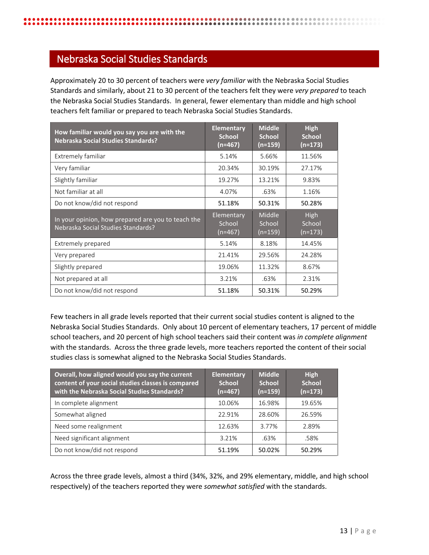# <span id="page-12-0"></span>Nebraska Social Studies Standards

Approximately 20 to 30 percent of teachers were *very familiar* with the Nebraska Social Studies Standards and similarly, about 21 to 30 percent of the teachers felt they were *very prepared* to teach the Nebraska Social Studies Standards. In general, fewer elementary than middle and high school teachers felt familiar or prepared to teach Nebraska Social Studies Standards.

| How familiar would you say you are with the<br><b>Nebraska Social Studies Standards?</b> | <b>Elementary</b><br><b>School</b><br>(n=467) | <b>Middle</b><br><b>School</b><br>(n=159) | <b>High</b><br><b>School</b><br>(n=173) |
|------------------------------------------------------------------------------------------|-----------------------------------------------|-------------------------------------------|-----------------------------------------|
| Extremely familiar                                                                       | 5.14%                                         | 5.66%                                     | 11.56%                                  |
| Very familiar                                                                            | 20.34%                                        | 30.19%                                    | 27.17%                                  |
| Slightly familiar                                                                        | 19.27%                                        | 13.21%                                    | 9.83%                                   |
| Not familiar at all                                                                      | 4.07%                                         | .63%                                      | 1.16%                                   |
| Do not know/did not respond                                                              | 51.18%                                        | 50.31%                                    | 50.28%                                  |
|                                                                                          |                                               |                                           |                                         |
| In your opinion, how prepared are you to teach the<br>Nebraska Social Studies Standards? | Elementary<br>School<br>$(n=467)$             | Middle<br>School<br>$(n=159)$             | High<br>School<br>$(n=173)$             |
| Extremely prepared                                                                       | 5.14%                                         | 8.18%                                     | 14.45%                                  |
| Very prepared                                                                            | 21.41%                                        | 29.56%                                    | 24.28%                                  |
| Slightly prepared                                                                        | 19.06%                                        | 11.32%                                    | 8.67%                                   |
| Not prepared at all                                                                      | 3.21%                                         | .63%                                      | 2.31%                                   |

Few teachers in all grade levels reported that their current social studies content is aligned to the Nebraska Social Studies Standards. Only about 10 percent of elementary teachers, 17 percent of middle school teachers, and 20 percent of high school teachers said their content was *in complete alignment*  with the standards. Across the three grade levels, more teachers reported the content of their social studies class is somewhat aligned to the Nebraska Social Studies Standards.

| Overall, how aligned would you say the current<br>content of your social studies classes is compared<br>with the Nebraska Social Studies Standards? | <b>Elementary</b><br><b>School</b><br>$(n=467)$ | <b>Middle</b><br><b>School</b><br>$(n=159)$ | <b>High</b><br><b>School</b><br>$(n=173)$ |
|-----------------------------------------------------------------------------------------------------------------------------------------------------|-------------------------------------------------|---------------------------------------------|-------------------------------------------|
| In complete alignment                                                                                                                               | 10.06%                                          | 16.98%                                      | 19.65%                                    |
| Somewhat aligned                                                                                                                                    | 22.91%                                          | 28.60%                                      | 26.59%                                    |
| Need some realignment                                                                                                                               | 12.63%                                          | 3.77%                                       | 2.89%                                     |
| Need significant alignment                                                                                                                          | 3.21%                                           | .63%                                        | .58%                                      |
| Do not know/did not respond                                                                                                                         | 51.19%                                          | 50.02%                                      | 50.29%                                    |

Across the three grade levels, almost a third (34%, 32%, and 29% elementary, middle, and high school respectively) of the teachers reported they were *somewhat satisfied* with the standards.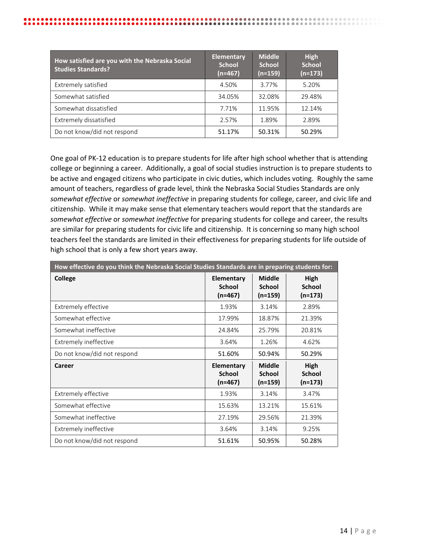| How satisfied are you with the Nebraska Social<br><b>Studies Standards?</b> | <b>Elementary</b><br><b>School</b><br>(n=467) | <b>Middle</b><br><b>School</b><br>$(n=159)$ | <b>High</b><br><b>School</b><br>$(n=173)$ |
|-----------------------------------------------------------------------------|-----------------------------------------------|---------------------------------------------|-------------------------------------------|
| Extremely satisfied                                                         | 4.50%                                         | 3.77%                                       | 5.20%                                     |
| Somewhat satisfied                                                          | 34.05%                                        | 32.08%                                      | 29.48%                                    |
| Somewhat dissatisfied                                                       | 7.71%                                         | 11.95%                                      | 12.14%                                    |
| Extremely dissatisfied                                                      | 2.57%                                         | 1.89%                                       | 2.89%                                     |
| Do not know/did not respond                                                 | 51.17%                                        | 50.31%                                      | 50.29%                                    |

One goal of PK-12 education is to prepare students for life after high school whether that is attending college or beginning a career. Additionally, a goal of social studies instruction is to prepare students to be active and engaged citizens who participate in civic duties, which includes voting. Roughly the same amount of teachers, regardless of grade level, think the Nebraska Social Studies Standards are only *somewhat effective* or *somewhat ineffective* in preparing students for college, career, and civic life and citizenship. While it may make sense that elementary teachers would report that the standards are *somewhat effective* or *somewhat ineffective* for preparing students for college and career, the results are similar for preparing students for civic life and citizenship. It is concerning so many high school teachers feel the standards are limited in their effectiveness for preparing students for life outside of high school that is only a few short years away.

| How effective do you think the Nebraska Social Studies Standards are in preparing students for: |                                          |                                      |                                    |  |
|-------------------------------------------------------------------------------------------------|------------------------------------------|--------------------------------------|------------------------------------|--|
| <b>College</b>                                                                                  | Elementary<br><b>School</b><br>$(n=467)$ | Middle<br><b>School</b><br>$(n=159)$ | High<br><b>School</b><br>$(n=173)$ |  |
| Extremely effective                                                                             | 1.93%                                    | 3.14%                                | 2.89%                              |  |
| Somewhat effective                                                                              | 17.99%                                   | 18.87%                               | 21.39%                             |  |
| Somewhat ineffective                                                                            | 24.84%                                   | 25.79%                               | 20.81%                             |  |
| Extremely ineffective                                                                           | 3.64%                                    | 1.26%                                | 4.62%                              |  |
| Do not know/did not respond                                                                     | 51.60%                                   | 50.94%                               | 50.29%                             |  |
| Career                                                                                          | Elementary<br><b>School</b><br>$(n=467)$ | Middle<br><b>School</b><br>$(n=159)$ | High<br><b>School</b><br>$(n=173)$ |  |
| Extremely effective                                                                             | 1.93%                                    | 3.14%                                | 3.47%                              |  |
| Somewhat effective                                                                              | 15.63%                                   | 13.21%                               | 15.61%                             |  |
| Somewhat ineffective                                                                            | 27.19%                                   | 29.56%                               | 21.39%                             |  |
| Extremely ineffective                                                                           | 3.64%                                    | 3.14%                                | 9.25%                              |  |
| Do not know/did not respond                                                                     | 51.61%                                   | 50.95%                               | 50.28%                             |  |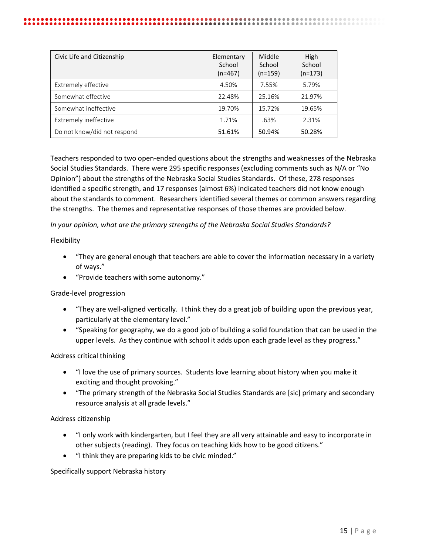| Civic Life and Citizenship  | Elementary<br>School<br>$(n=467)$ | Middle<br>School<br>$(n=159)$ | High<br>School<br>$(n=173)$ |
|-----------------------------|-----------------------------------|-------------------------------|-----------------------------|
| Extremely effective         | 4.50%                             | 7.55%                         | 5.79%                       |
| Somewhat effective          | 22.48%                            | 25.16%                        | 21.97%                      |
| Somewhat ineffective        | 19.70%                            | 15.72%                        | 19.65%                      |
| Extremely ineffective       | 1.71%                             | .63%                          | 2.31%                       |
| Do not know/did not respond | 51.61%                            | 50.94%                        | 50.28%                      |

Teachers responded to two open-ended questions about the strengths and weaknesses of the Nebraska Social Studies Standards. There were 295 specific responses (excluding comments such as N/A or "No Opinion") about the strengths of the Nebraska Social Studies Standards. Of these, 278 responses identified a specific strength, and 17 responses (almost 6%) indicated teachers did not know enough about the standards to comment. Researchers identified several themes or common answers regarding the strengths. The themes and representative responses of those themes are provided below.

*In your opinion, what are the primary strengths of the Nebraska Social Studies Standards?*

Flexibility

- "They are general enough that teachers are able to cover the information necessary in a variety of ways."
- "Provide teachers with some autonomy."

Grade-level progression

- "They are well-aligned vertically. I think they do a great job of building upon the previous year, particularly at the elementary level."
- "Speaking for geography, we do a good job of building a solid foundation that can be used in the upper levels. As they continue with school it adds upon each grade level as they progress."

#### Address critical thinking

- "I love the use of primary sources. Students love learning about history when you make it exciting and thought provoking."
- "The primary strength of the Nebraska Social Studies Standards are [sic] primary and secondary resource analysis at all grade levels."

Address citizenship

- "I only work with kindergarten, but I feel they are all very attainable and easy to incorporate in other subjects (reading). They focus on teaching kids how to be good citizens."
- "I think they are preparing kids to be civic minded."

Specifically support Nebraska history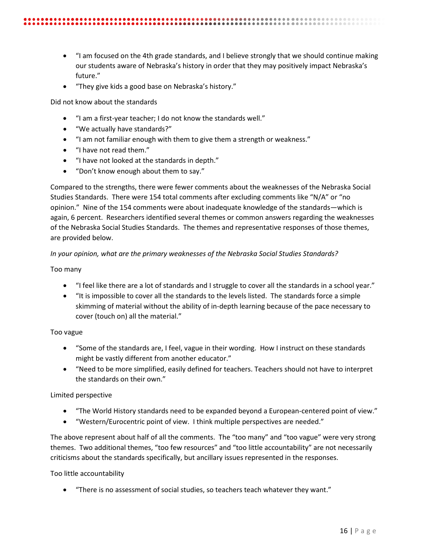- "I am focused on the 4th grade standards, and I believe strongly that we should continue making our students aware of Nebraska's history in order that they may positively impact Nebraska's future."
- "They give kids a good base on Nebraska's history."

Did not know about the standards

- "I am a first-year teacher; I do not know the standards well."
- "We actually have standards?"
- "I am not familiar enough with them to give them a strength or weakness."
- "I have not read them."
- "I have not looked at the standards in depth."
- "Don't know enough about them to say."

Compared to the strengths, there were fewer comments about the weaknesses of the Nebraska Social Studies Standards. There were 154 total comments after excluding comments like "N/A" or "no opinion." Nine of the 154 comments were about inadequate knowledge of the standards—which is again, 6 percent. Researchers identified several themes or common answers regarding the weaknesses of the Nebraska Social Studies Standards. The themes and representative responses of those themes, are provided below.

#### *In your opinion, what are the primary weaknesses of the Nebraska Social Studies Standards?*

#### Too many

- "I feel like there are a lot of standards and I struggle to cover all the standards in a school year."
- "It is impossible to cover all the standards to the levels listed. The standards force a simple skimming of material without the ability of in-depth learning because of the pace necessary to cover (touch on) all the material."

#### Too vague

- "Some of the standards are, I feel, vague in their wording. How I instruct on these standards might be vastly different from another educator."
- "Need to be more simplified, easily defined for teachers. Teachers should not have to interpret the standards on their own."

#### Limited perspective

- "The World History standards need to be expanded beyond a European-centered point of view."
- "Western/Eurocentric point of view. I think multiple perspectives are needed."

The above represent about half of all the comments. The "too many" and "too vague" were very strong themes. Two additional themes, "too few resources" and "too little accountability" are not necessarily criticisms about the standards specifically, but ancillary issues represented in the responses.

#### Too little accountability

• "There is no assessment of social studies, so teachers teach whatever they want."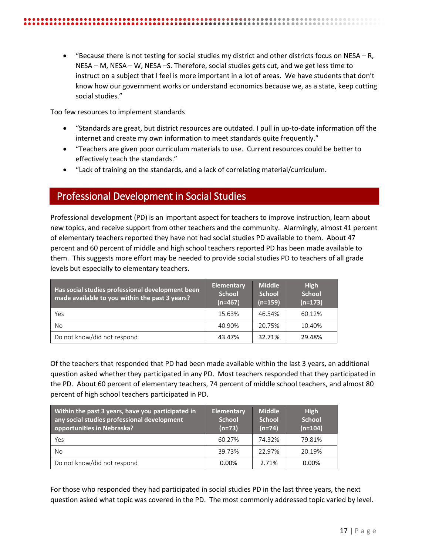• "Because there is not testing for social studies my district and other districts focus on NESA – R, NESA – M, NESA – W, NESA –S. Therefore, social studies gets cut, and we get less time to instruct on a subject that I feel is more important in a lot of areas. We have students that don't know how our government works or understand economics because we, as a state, keep cutting social studies."

Too few resources to implement standards

- "Standards are great, but district resources are outdated. I pull in up-to-date information off the internet and create my own information to meet standards quite frequently."
- "Teachers are given poor curriculum materials to use. Current resources could be better to effectively teach the standards."
- "Lack of training on the standards, and a lack of correlating material/curriculum.

# <span id="page-16-0"></span>Professional Development in Social Studies

Professional development (PD) is an important aspect for teachers to improve instruction, learn about new topics, and receive support from other teachers and the community. Alarmingly, almost 41 percent of elementary teachers reported they have not had social studies PD available to them. About 47 percent and 60 percent of middle and high school teachers reported PD has been made available to them. This suggests more effort may be needed to provide social studies PD to teachers of all grade levels but especially to elementary teachers.

| Has social studies professional development been<br>made available to you within the past 3 years? | <b>Elementary</b><br><b>School</b><br>$(n=467)$ | <b>Middle</b><br><b>School</b><br>$(n=159)$ | <b>High</b><br><b>School</b><br>$(n=173)$ |
|----------------------------------------------------------------------------------------------------|-------------------------------------------------|---------------------------------------------|-------------------------------------------|
| Yes                                                                                                | 15.63%                                          | 46.54%                                      | 60.12%                                    |
| No.                                                                                                | 40.90%                                          | 20.75%                                      | 10.40%                                    |
| Do not know/did not respond                                                                        | 43.47%                                          | 32.71%                                      | 29.48%                                    |

Of the teachers that responded that PD had been made available within the last 3 years, an additional question asked whether they participated in any PD. Most teachers responded that they participated in the PD. About 60 percent of elementary teachers, 74 percent of middle school teachers, and almost 80 percent of high school teachers participated in PD.

| Within the past 3 years, have you participated in<br>any social studies professional development<br>opportunities in Nebraska? | <b>Elementary</b><br><b>School</b><br>$(n=73)$ | <b>Middle</b><br><b>School</b><br>$(n=74)$ | <b>High</b><br><b>School</b><br>$(n=104)$ |
|--------------------------------------------------------------------------------------------------------------------------------|------------------------------------------------|--------------------------------------------|-------------------------------------------|
| Yes                                                                                                                            | 60.27%                                         | 74.32%                                     | 79.81%                                    |
| No.                                                                                                                            | 39.73%                                         | 22.97%                                     | 20.19%                                    |
| Do not know/did not respond                                                                                                    | 0.00%                                          | 2.71%                                      | 0.00%                                     |

For those who responded they had participated in social studies PD in the last three years, the next question asked what topic was covered in the PD. The most commonly addressed topic varied by level.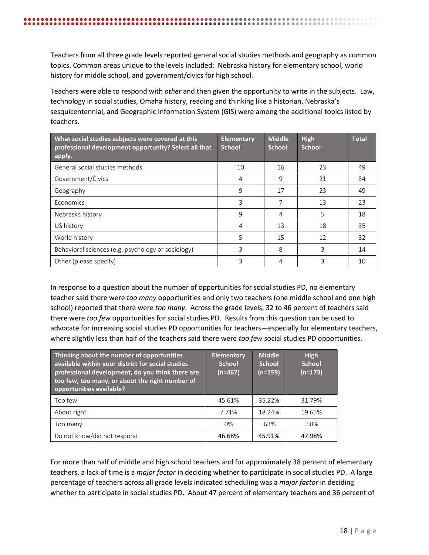Teachers from all three grade levels reported general social studies methods and geography as common topics. Common areas unique to the levels included: Nebraska history for elementary school, world history for middle school, and government/civics for high school.

Teachers were able to respond with *other* and then given the opportunity to write in the subjects. Law, technology in social studies, Omaha history, reading and thinking like a historian, Nebraska's sesquicentennial, and Geographic Information System (GIS) were among the additional topics listed by teachers.

| What social studies subjects were covered at this<br>professional development opportunity? Select all that<br>apply. | Elementary<br><b>School</b> | <b>Middle</b><br><b>School</b> | <b>High</b><br><b>School</b> | <b>Total</b> |
|----------------------------------------------------------------------------------------------------------------------|-----------------------------|--------------------------------|------------------------------|--------------|
| General social studies methods                                                                                       | 10                          | 16                             | 23                           | 49           |
| Government/Civics                                                                                                    | 4                           | 9                              | 21                           | 34           |
| Geography                                                                                                            | 9                           | 17                             | 23                           | 49           |
| Economics                                                                                                            | 3                           | 7                              | 13                           | 23           |
| Nebraska history                                                                                                     | $\mathsf{Q}$                | 4                              | 5                            | 18           |
| US history                                                                                                           | 4                           | 13                             | 18                           | 35           |
| World history                                                                                                        | 5                           | 15                             | 12                           | 32           |
| Behavioral sciences (e.g. psychology or sociology)                                                                   | 3                           | 8                              | 3                            | 14           |
| Other (please specify)                                                                                               | 3                           | 4                              | 3                            | 10           |

In response to a question about the number of opportunities for social studies PD, no elementary teacher said there were *too many* opportunities and only two teachers (one middle school and one high school) reported that there were *too many*. Across the grade levels, 32 to 46 percent of teachers said there were *too few* opportunities for social studies PD. Results from this question can be used to advocate for increasing social studies PD opportunities for teachers—especially for elementary teachers, where slightly less than half of the teachers said there were *too few* social studies PD opportunities.

| Thinking about the number of opportunities<br>available within your district for social studies<br>professional development, do you think there are<br>too few, too many, or about the right number of<br>opportunities available? | <b>Elementary</b><br><b>School</b><br>$(n=467)$ | <b>Middle</b><br><b>School</b><br>$(n=159)$ | <b>High</b><br><b>School</b><br>$(n=173)$ |
|------------------------------------------------------------------------------------------------------------------------------------------------------------------------------------------------------------------------------------|-------------------------------------------------|---------------------------------------------|-------------------------------------------|
| Too few                                                                                                                                                                                                                            | 45.61%                                          | 35.22%                                      | 31.79%                                    |
| About right                                                                                                                                                                                                                        | 7.71%                                           | 18.24%                                      | 19.65%                                    |
| Too many                                                                                                                                                                                                                           | 0%                                              | .63%                                        | .58%                                      |
| Do not know/did not respond                                                                                                                                                                                                        | 46.68%                                          | 45.91%                                      | 47.98%                                    |

For more than half of middle and high school teachers and for approximately 38 percent of elementary teachers, a lack of time is a *major factor* in deciding whether to participate in social studies PD. A large percentage of teachers across all grade levels indicated scheduling was a *major factor* in deciding whether to participate in social studies PD. About 47 percent of elementary teachers and 36 percent of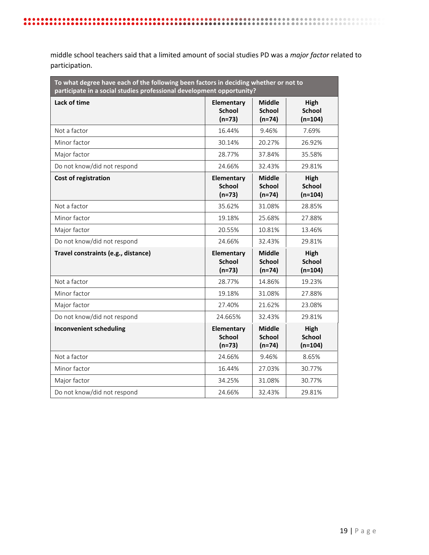middle school teachers said that a limited amount of social studies PD was a *major factor* related to participation.

. . . . . . . . . . . . . . . . .<br>. . . . . . . . . . . . . . . . .

| To what degree have each of the following been factors in deciding whether or not to<br>participate in a social studies professional development opportunity? |                                                |                                            |                                    |
|---------------------------------------------------------------------------------------------------------------------------------------------------------------|------------------------------------------------|--------------------------------------------|------------------------------------|
| Lack of time                                                                                                                                                  | <b>Elementary</b><br><b>School</b><br>$(n=73)$ | Middle<br><b>School</b><br>$(n=74)$        | High<br><b>School</b><br>$(n=104)$ |
| Not a factor                                                                                                                                                  | 16.44%                                         | 9.46%                                      | 7.69%                              |
| Minor factor                                                                                                                                                  | 30.14%                                         | 20.27%                                     | 26.92%                             |
| Major factor                                                                                                                                                  | 28.77%                                         | 37.84%                                     | 35.58%                             |
| Do not know/did not respond                                                                                                                                   | 24.66%                                         | 32.43%                                     | 29.81%                             |
| <b>Cost of registration</b>                                                                                                                                   | <b>Elementary</b><br><b>School</b><br>$(n=73)$ | <b>Middle</b><br><b>School</b><br>$(n=74)$ | High<br><b>School</b><br>$(n=104)$ |
| Not a factor                                                                                                                                                  | 35.62%                                         | 31.08%                                     | 28.85%                             |
| Minor factor                                                                                                                                                  | 19.18%                                         | 25.68%                                     | 27.88%                             |
| Major factor                                                                                                                                                  | 20.55%                                         | 10.81%                                     | 13.46%                             |
| Do not know/did not respond                                                                                                                                   | 24.66%                                         | 32.43%                                     | 29.81%                             |
| Travel constraints (e.g., distance)                                                                                                                           | <b>Elementary</b><br><b>School</b><br>$(n=73)$ | <b>Middle</b><br><b>School</b><br>$(n=74)$ | High<br><b>School</b><br>$(n=104)$ |
| Not a factor                                                                                                                                                  | 28.77%                                         | 14.86%                                     | 19.23%                             |
| Minor factor                                                                                                                                                  | 19.18%                                         | 31.08%                                     | 27.88%                             |
| Major factor                                                                                                                                                  | 27.40%                                         | 21.62%                                     | 23.08%                             |
| Do not know/did not respond                                                                                                                                   | 24.665%                                        | 32.43%                                     | 29.81%                             |
| <b>Inconvenient scheduling</b>                                                                                                                                | <b>Elementary</b><br><b>School</b><br>$(n=73)$ | <b>Middle</b><br><b>School</b><br>$(n=74)$ | High<br><b>School</b><br>$(n=104)$ |
| Not a factor                                                                                                                                                  | 24.66%                                         | 9.46%                                      | 8.65%                              |
| Minor factor                                                                                                                                                  | 16.44%                                         | 27.03%                                     | 30.77%                             |
| Major factor                                                                                                                                                  | 34.25%                                         | 31.08%                                     | 30.77%                             |
| Do not know/did not respond                                                                                                                                   | 24.66%                                         | 32.43%                                     | 29.81%                             |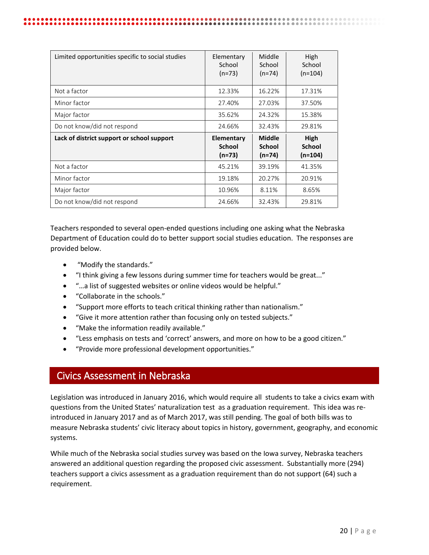| Limited opportunities specific to social studies | Elementary<br>School<br>$(n=73)$        | Middle<br>School<br>$(n=74)$               | High<br>School<br>$(n=104)$      |
|--------------------------------------------------|-----------------------------------------|--------------------------------------------|----------------------------------|
| Not a factor                                     | 12.33%                                  | 16.22%                                     | 17.31%                           |
| Minor factor                                     | 27.40%                                  | 27.03%                                     | 37.50%                           |
| Major factor                                     | 35.62%                                  | 24.32%                                     | 15.38%                           |
| Do not know/did not respond                      | 24.66%                                  | 32.43%                                     | 29.81%                           |
| Lack of district support or school support       | Elementary<br><b>School</b><br>$(n=73)$ | <b>Middle</b><br><b>School</b><br>$(n=74)$ | High<br><b>School</b><br>(n=104) |
| Not a factor                                     | 45.21%                                  | 39.19%                                     | 41.35%                           |
| Minor factor                                     | 19.18%                                  | 20.27%                                     | 20.91%                           |
| Major factor                                     | 10.96%                                  | 8.11%                                      | 8.65%                            |
| Do not know/did not respond                      | 24.66%                                  | 32.43%                                     | 29.81%                           |

Teachers responded to several open-ended questions including one asking what the Nebraska Department of Education could do to better support social studies education. The responses are provided below.

- "Modify the standards."
- "I think giving a few lessons during summer time for teachers would be great..."
- "...a list of suggested websites or online videos would be helpful."
- "Collaborate in the schools."
- "Support more efforts to teach critical thinking rather than nationalism."
- "Give it more attention rather than focusing only on tested subjects."
- "Make the information readily available."
- "Less emphasis on tests and 'correct' answers, and more on how to be a good citizen."
- "Provide more professional development opportunities."

# <span id="page-19-0"></span>Civics Assessment in Nebraska

Legislation was introduced in January 2016, which would require all students to take a civics exam with questions from the United States' naturalization test as a graduation requirement. This idea was reintroduced in January 2017 and as of March 2017, was still pending. The goal of both bills was to measure Nebraska students' civic literacy about topics in history, government, geography, and economic systems.

While much of the Nebraska social studies survey was based on the Iowa survey, Nebraska teachers answered an additional question regarding the proposed civic assessment. Substantially more (294) teachers support a civics assessment as a graduation requirement than do not support (64) such a requirement.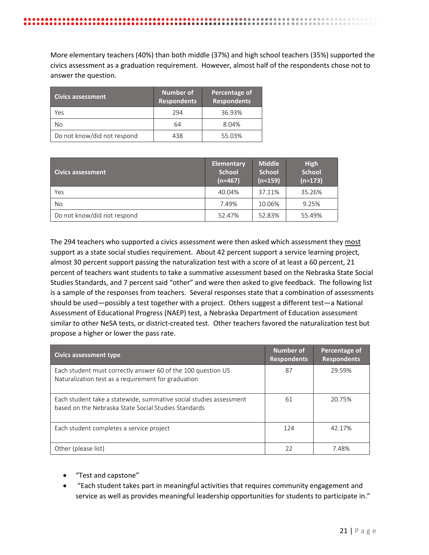| <b>Civics assessment</b>    | Number of<br><b>Respondents</b> | Percentage of<br><b>Respondents</b> |
|-----------------------------|---------------------------------|-------------------------------------|
| Yes                         | 294                             | 36.93%                              |
| Nο                          | 64                              | 8.04%                               |
| Do not know/did not respond | 438                             | 55.03%                              |

answer the question.

| <b>Civics assessment</b>    | <b>Elementary</b><br><b>School</b><br>$(n=467)$ | <b>Middle</b><br><b>School</b><br>$(n=159)$ | High<br><b>School</b><br>$(n=173)$ |
|-----------------------------|-------------------------------------------------|---------------------------------------------|------------------------------------|
| Yes                         | 40.04%                                          | 37.11%                                      | 35.26%                             |
| No                          | 7.49%                                           | 10.06%                                      | 9.25%                              |
| Do not know/did not respond | 52.47%                                          | 52.83%                                      | 55.49%                             |

The 294 teachers who supported a civics assessment were then asked which assessment they most support as a state social studies requirement. About 42 percent support a service learning project, almost 30 percent support passing the naturalization test with a score of at least a 60 percent, 21 percent of teachers want students to take a summative assessment based on the Nebraska State Social Studies Standards, and 7 percent said "other" and were then asked to give feedback. The following list is a sample of the responses from teachers. Several responses state that a combination of assessments should be used—possibly a test together with a project. Others suggest a different test—a National Assessment of Educational Progress (NAEP) test, a Nebraska Department of Education assessment similar to other NeSA tests, or district-created test. Other teachers favored the naturalization test but propose a higher or lower the pass rate.

| <b>Civics assessment type</b>                                                                                              | Number of<br><b>Respondents</b> | Percentage of<br><b>Respondents</b> |
|----------------------------------------------------------------------------------------------------------------------------|---------------------------------|-------------------------------------|
| Each student must correctly answer 60 of the 100 question US<br>Naturalization test as a requirement for graduation        | 87                              | 29.59%                              |
| Each student take a statewide, summative social studies assessment<br>based on the Nebraska State Social Studies Standards | 61                              | 20.75%                              |
| Each student completes a service project                                                                                   | 124                             | 42.17%                              |
| Other (please list)                                                                                                        | 22                              | 7.48%                               |

- "Test and capstone"
- "Each student takes part in meaningful activities that requires community engagement and service as well as provides meaningful leadership opportunities for students to participate in."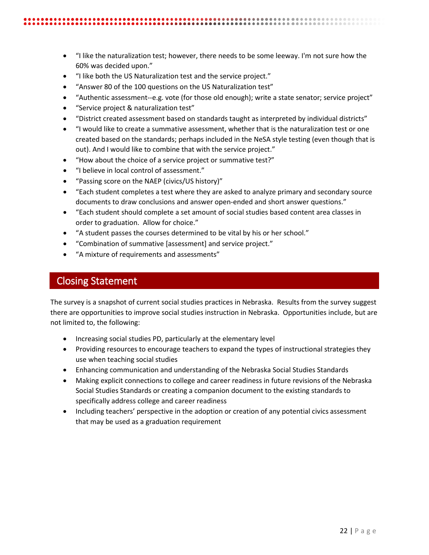- "I like both the US Naturalization test and the service project."
- "Answer 80 of the 100 questions on the US Naturalization test"
- "Authentic assessment--e.g. vote (for those old enough); write a state senator; service project"
- "Service project & naturalization test"
- "District created assessment based on standards taught as interpreted by individual districts"
- "I would like to create a summative assessment, whether that is the naturalization test or one created based on the standards; perhaps included in the NeSA style testing (even though that is out). And I would like to combine that with the service project."
- "How about the choice of a service project or summative test?"
- "I believe in local control of assessment."
- "Passing score on the NAEP (civics/US history)"
- "Each student completes a test where they are asked to analyze primary and secondary source documents to draw conclusions and answer open-ended and short answer questions."
- "Each student should complete a set amount of social studies based content area classes in order to graduation. Allow for choice."
- "A student passes the courses determined to be vital by his or her school."
- "Combination of summative [assessment] and service project."
- "A mixture of requirements and assessments"

# <span id="page-21-0"></span>Closing Statement

The survey is a snapshot of current social studies practices in Nebraska. Results from the survey suggest there are opportunities to improve social studies instruction in Nebraska. Opportunities include, but are not limited to, the following:

- Increasing social studies PD, particularly at the elementary level
- Providing resources to encourage teachers to expand the types of instructional strategies they use when teaching social studies
- Enhancing communication and understanding of the Nebraska Social Studies Standards
- Making explicit connections to college and career readiness in future revisions of the Nebraska Social Studies Standards or creating a companion document to the existing standards to specifically address college and career readiness
- Including teachers' perspective in the adoption or creation of any potential civics assessment that may be used as a graduation requirement